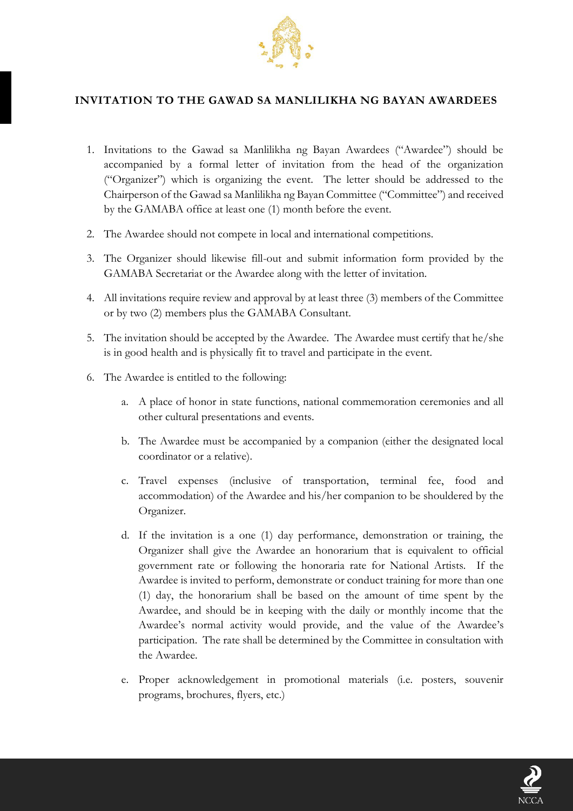

## **INVITATION TO THE GAWAD SA MANLILIKHA NG BAYAN AWARDEES**

- 1. Invitations to the Gawad sa Manlilikha ng Bayan Awardees ("Awardee") should be accompanied by a formal letter of invitation from the head of the organization ("Organizer") which is organizing the event. The letter should be addressed to the Chairperson of the Gawad sa Manlilikha ng Bayan Committee ("Committee") and received by the GAMABA office at least one (1) month before the event.
- 2. The Awardee should not compete in local and international competitions.
- 3. The Organizer should likewise fill-out and submit information form provided by the GAMABA Secretariat or the Awardee along with the letter of invitation.
- 4. All invitations require review and approval by at least three (3) members of the Committee or by two (2) members plus the GAMABA Consultant.
- 5. The invitation should be accepted by the Awardee. The Awardee must certify that he/she is in good health and is physically fit to travel and participate in the event.
- 6. The Awardee is entitled to the following:
	- a. A place of honor in state functions, national commemoration ceremonies and all other cultural presentations and events.
	- b. The Awardee must be accompanied by a companion (either the designated local coordinator or a relative).
	- c. Travel expenses (inclusive of transportation, terminal fee, food and accommodation) of the Awardee and his/her companion to be shouldered by the Organizer.
	- d. If the invitation is a one (1) day performance, demonstration or training, the Organizer shall give the Awardee an honorarium that is equivalent to official government rate or following the honoraria rate for National Artists. If the Awardee is invited to perform, demonstrate or conduct training for more than one (1) day, the honorarium shall be based on the amount of time spent by the Awardee, and should be in keeping with the daily or monthly income that the Awardee's normal activity would provide, and the value of the Awardee's participation. The rate shall be determined by the Committee in consultation with the Awardee.
	- e. Proper acknowledgement in promotional materials (i.e. posters, souvenir programs, brochures, flyers, etc.)